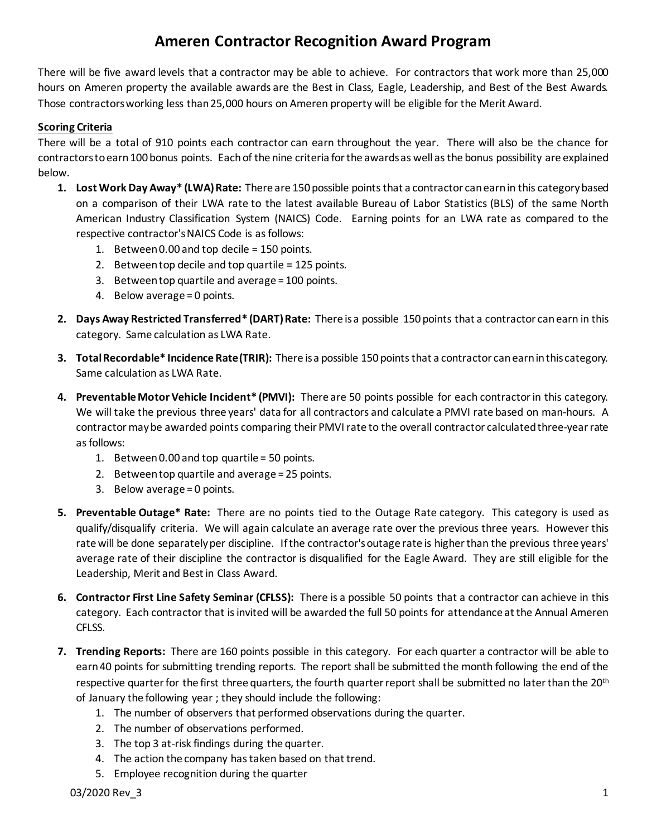## **Ameren Contractor Recognition Award Program**

There will be five award levels that a contractor may be able to achieve. For contractors that work more than 25,000 hours on Ameren property the available awards are the Best in Class, Eagle, Leadership, and Best of the Best Awards. Those contractors working less than 25,000 hours on Ameren property will be eligible for the Merit Award.

## **Scoring Criteria**

There will be a total of 910 points each contractor can earn throughout the year. There will also be the chance for contractors to earn 100 bonus points. Each of the nine criteria for the awardsas well as the bonus possibility are explained below.

- **1.** Lost Work Day Away\* (LWA) Rate: There are 150 possible points that a contractor can earn in this category based on a comparison of their LWA rate to the latest available Bureau of Labor Statistics (BLS) of the same North American Industry Classification System (NAICS) Code. Earning points for an LWA rate as compared to the respective contractor's NAICS Code is as follows:
	- 1. Between 0.00 and top decile = 150 points.
	- 2. Between top decile and top quartile = 125 points.
	- 3. Between top quartile and average = 100 points.
	- 4. Below average = 0 points.
- **2. Days Away Restricted Transferred\* (DART)Rate:** There is a possible 150 points that a contractor can earn in this category. Same calculation as LWA Rate.
- **3. Total Recordable\* IncidenceRate (TRIR):** There is a possible 150 points that a contractor can earnin this category. Same calculation as LWA Rate.
- **4. Preventable Motor Vehicle Incident\* (PMVI):** There are 50 points possible for each contractor in this category. We will take the previous three years' data for all contractors and calculate a PMVI rate based on man-hours. A contractor maybe awarded points comparing their PMVI rate to the overall contractor calculated three-year rate as follows:
	- 1. Between 0.00 and top quartile = 50 points.
	- 2. Between top quartile and average = 25 points.
	- 3. Below average = 0 points.
- **5. Preventable Outage\* Rate:** There are no points tied to the Outage Rate category. This category is used as qualify/disqualify criteria. We will again calculate an average rate over the previous three years. However this rate will be done separately per discipline. If the contractor's outage rate is higher than the previous three years' average rate of their discipline the contractor is disqualified for the Eagle Award. They are still eligible for the Leadership, Merit and Best in Class Award.
- **6. Contractor First Line Safety Seminar (CFLSS):** There is a possible 50 points that a contractor can achieve in this category. Each contractor that is invited will be awarded the full 50 points for attendance at the Annual Ameren CFLSS.
- **7. Trending Reports:** There are 160 points possible in this category. For each quarter a contractor will be able to earn40 points for submitting trending reports. The report shall be submitted the month following the end of the respective quarter for the first three quarters, the fourth quarter report shall be submitted no later than the 20<sup>th</sup> of January the following year ; they should include the following:
	- 1. The number of observers that performed observations during the quarter.
	- 2. The number of observations performed.
	- 3. The top 3 at-risk findings during the quarter.
	- 4. The action the company has taken based on that trend.
	- 5. Employee recognition during the quarter